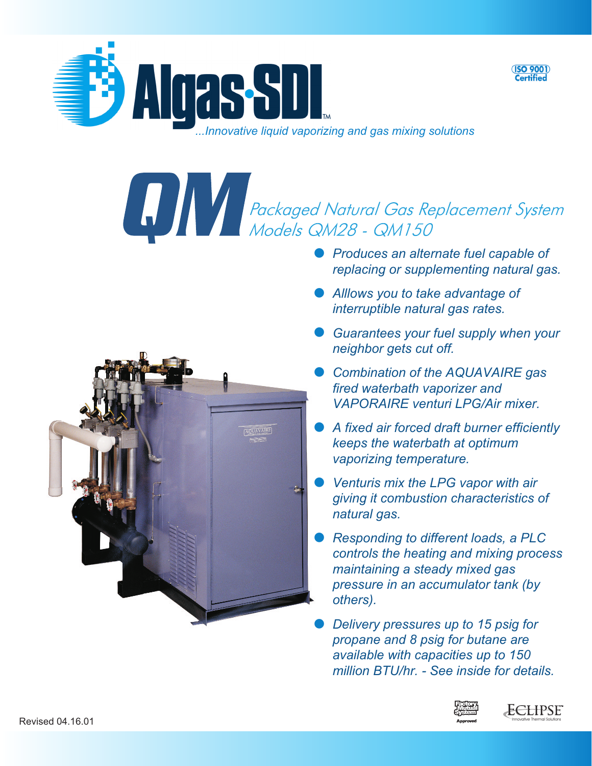

**Prockaged Natural Gas Replacement System**<br>Models QM28 - QM150<br>Produces an alternate fuel capable of

- *replacing or supplementing natural gas.*
- *Alllows you to take advantage of interruptible natural gas rates.*
- *Guarantees your fuel supply when your neighbor gets cut off.*
- *Combination of the AQUAVAIRE gas fired waterbath vaporizer and VAPORAIRE venturi LPG/Air mixer.*
- *A fixed air forced draft burner efficiently keeps the waterbath at optimum vaporizing temperature.*
- *Venturis mix the LPG vapor with air giving it combustion characteristics of natural gas.*
- *Responding to different loads, a PLC controls the heating and mixing process maintaining a steady mixed gas pressure in an accumulator tank (by others).*
- *Delivery pressures up to 15 psig for propane and 8 psig for butane are available with capacities up to 150 million BTU/hr. - See inside for details.*





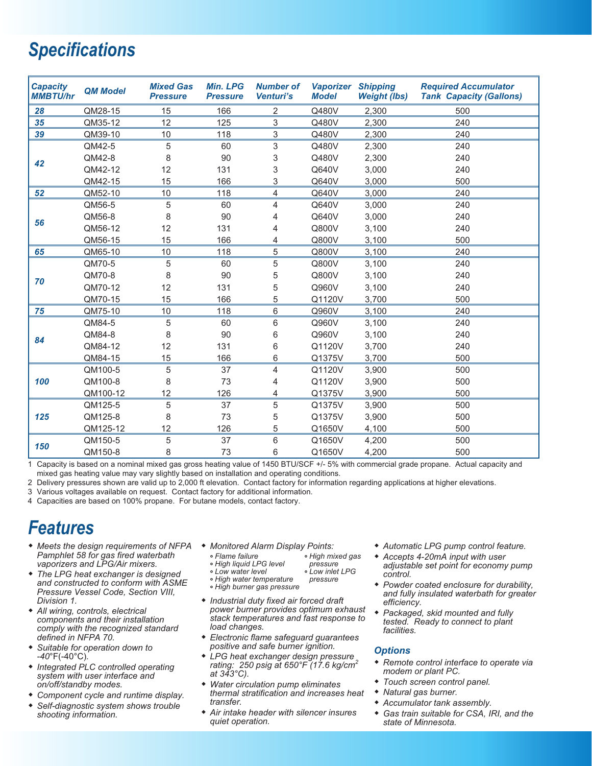# *Specifications*

| <b>Capacity</b><br><b>MMBTU/hr</b> | <b>QM Model</b> | <b>Mixed Gas</b><br><b>Pressure</b> | <b>Min. LPG</b><br><b>Pressure</b> | <b>Number of</b><br>Venturi's | <b>Vaporizer Shipping</b><br><b>Model</b> | <b>Weight (lbs)</b> | <b>Required Accumulator</b><br><b>Tank Capacity (Gallons)</b> |
|------------------------------------|-----------------|-------------------------------------|------------------------------------|-------------------------------|-------------------------------------------|---------------------|---------------------------------------------------------------|
| 28                                 | QM28-15         | 15                                  | 166                                | $\overline{2}$                | Q480V                                     | 2,300               | 500                                                           |
| 35                                 | QM35-12         | 12                                  | 125                                | 3                             | Q480V                                     | 2,300               | 240                                                           |
| 39                                 | QM39-10         | 10                                  | 118                                | 3                             | Q480V                                     | 2,300               | 240                                                           |
| 42                                 | QM42-5          | 5                                   | 60                                 | 3                             | Q480V                                     | 2,300               | 240                                                           |
|                                    | QM42-8          | 8                                   | 90                                 | 3                             | Q480V                                     | 2,300               | 240                                                           |
|                                    | QM42-12         | 12                                  | 131                                | 3                             | Q640V                                     | 3,000               | 240                                                           |
|                                    | QM42-15         | 15                                  | 166                                | 3                             | Q640V                                     | 3,000               | 500                                                           |
| 52                                 | QM52-10         | 10                                  | 118                                | 4                             | Q640V                                     | 3,000               | 240                                                           |
| 56                                 | QM56-5          | 5                                   | 60                                 | 4                             | Q640V                                     | 3,000               | 240                                                           |
|                                    | QM56-8          | 8                                   | 90                                 | 4                             | Q640V                                     | 3,000               | 240                                                           |
|                                    | QM56-12         | 12                                  | 131                                | 4                             | Q800V                                     | 3,100               | 240                                                           |
|                                    | QM56-15         | 15                                  | 166                                | 4                             | Q800V                                     | 3,100               | 500                                                           |
| 65                                 | QM65-10         | 10                                  | 118                                | 5                             | Q800V                                     | 3,100               | 240                                                           |
| 70                                 | QM70-5          | 5                                   | 60                                 | 5                             | Q800V                                     | 3,100               | 240                                                           |
|                                    | QM70-8          | 8                                   | 90                                 | 5                             | Q800V                                     | 3,100               | 240                                                           |
|                                    | QM70-12         | 12                                  | 131                                | 5                             | Q960V                                     | 3,100               | 240                                                           |
|                                    | QM70-15         | 15                                  | 166                                | 5                             | Q1120V                                    | 3,700               | 500                                                           |
| 75                                 | QM75-10         | 10                                  | 118                                | 6                             | Q960V                                     | 3,100               | 240                                                           |
| 84                                 | QM84-5          | 5                                   | 60                                 | 6                             | Q960V                                     | 3,100               | 240                                                           |
|                                    | QM84-8          | 8                                   | 90                                 | 6                             | Q960V                                     | 3,100               | 240                                                           |
|                                    | QM84-12         | 12                                  | 131                                | 6                             | Q1120V                                    | 3,700               | 240                                                           |
|                                    | QM84-15         | 15                                  | 166                                | 6                             | Q1375V                                    | 3,700               | 500                                                           |
| 100                                | QM100-5         | 5                                   | 37                                 | 4                             | Q1120V                                    | 3,900               | 500                                                           |
|                                    | QM100-8         | 8                                   | 73                                 | 4                             | Q1120V                                    | 3,900               | 500                                                           |
|                                    | QM100-12        | 12                                  | 126                                | 4                             | Q1375V                                    | 3,900               | 500                                                           |
| 125                                | QM125-5         | 5                                   | 37                                 | 5                             | Q1375V                                    | 3,900               | 500                                                           |
|                                    | QM125-8         | 8                                   | 73                                 | 5                             | Q1375V                                    | 3,900               | 500                                                           |
|                                    | QM125-12        | 12                                  | 126                                | 5                             | Q1650V                                    | 4,100               | 500                                                           |
| 150                                | QM150-5         | 5                                   | 37                                 | 6                             | Q1650V                                    | 4,200               | 500                                                           |
|                                    | QM150-8         | 8                                   | 73                                 | 6                             | Q1650V                                    | 4,200               | 500                                                           |

1 Capacity is based on a nominal mixed gas gross heating value of 1450 BTU/SCF +/- 5% with commercial grade propane. Actual capacity and mixed gas heating value may vary slightly based on installation and operating conditions.

2 Delivery pressures shown are valid up to 2,000 ft elevation. Contact factory for information regarding applications at higher elevations.

3 Various voltages available on request. Contact factory for additional information.

4 Capacities are based on 100% propane. For butane models, contact factory.

# *Features*

- **-** *Meets the design requirements of NFPA* **-** *Monitored Alarm Display Points: Pamphlet 58 for gas fired waterbath vaporizers and LPG/Air mixers.*
- **-** *The LPG heat exchanger is designed and constructed to conform with ASME Pressure Vessel Code, Section VIII, Division 1.*
- **-** *All wiring, controls, electrical components and their installation comply with the recognized standard defined in NFPA 70.*
- **-** *Suitable for operation down to -40*°F(-40°C)*.*
- **-** *Integrated PLC controlled operating system with user interface and on/off/standby modes.*
- **-** *Component cycle and runtime display.*
- **-** *Self-diagnostic system shows trouble shooting information.*
- 
- **°** *Flame failure*
- **°** *High liquid LPG level*
- **°** *Low water level*
- **°** *High water temperature*
- 
- *load changes.*
- *positive and safe burner ignition.*
- **-** *LPG heat exchanger design pressure rating: 250 psig at 650°F (17.6 kg/cm<sup>2</sup> at 343°C).*
- **-** *Water circulation pump eliminates thermal stratification and increases heat transfer.*
- **-** *Air intake header with silencer insures quiet operation.*
- **-** *Automatic LPG pump control feature.*
- **-** *Accepts 4-20mA input with user adjustable set point for economy pump control.*
- **-** *Powder coated enclosure for durability, and fully insulated waterbath for greater efficiency.*
- **-** *Packaged, skid mounted and fully tested. Ready to connect to plant facilities.*

#### *Options*

- **-** *Remote control interface to operate via modem or plant PC.*
- **-** *Touch screen control panel.*
- **-** *Natural gas burner.*
- **-** *Accumulator tank assembly.*
- **-** *Gas train suitable for CSA, IRI, and the state of Minnesota.*
- **°** *High mixed gas pressure*
- 
- **°** *Low inlet LPG pressure*
- **°** *High burner gas pressure*

# **-** *Industrial duty fixed air forced draft power burner provides optimum exhaust stack temperatures and fast response to*

- **-** *Electronic flame safeguard guarantees*
	-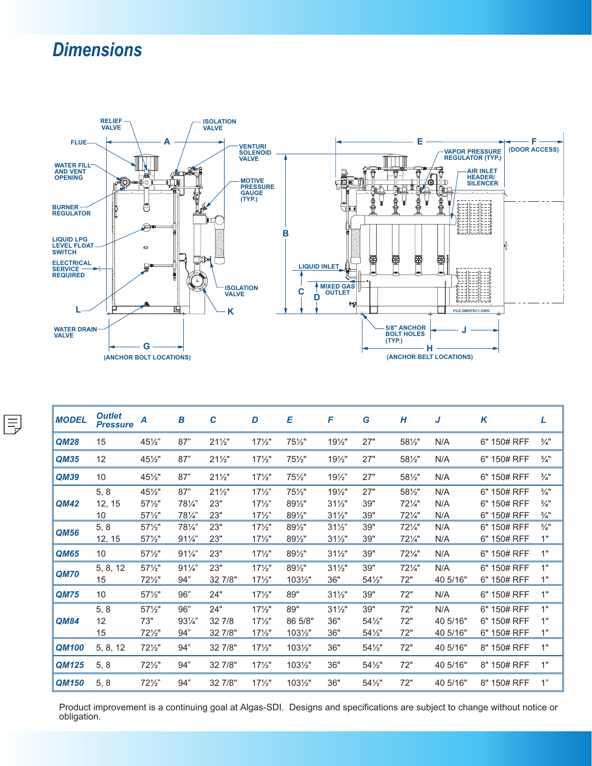# *Dimensions*



| <b>MODEL</b> | <b>Outlet</b><br><b>Pressure</b> | A               | B               | C               | D                 | Е                | F               | G      | H               | J        | K           | L               |
|--------------|----------------------------------|-----------------|-----------------|-----------------|-------------------|------------------|-----------------|--------|-----------------|----------|-------------|-----------------|
| QM28         | 15                               | 451/2"          | 87"             | $21\frac{1}{2}$ | $17\frac{1}{2}$   | 751/2"           | $19\frac{1}{2}$ | 27"    | 581/2"          | N/A      | 6" 150# RFF | $\frac{3}{4}$ " |
| QM35         | 12                               | $45\frac{1}{2}$ | 87"             | $21\frac{1}{2}$ | $17\frac{1}{2}$   | 751/2"           | $19\frac{1}{2}$ | 27"    | 581/2"          | N/A      | 6" 150# RFF | $\frac{3}{4}$ " |
| QM39         | 10                               | $45\frac{1}{2}$ | 87"             | $21\frac{1}{2}$ | $17\frac{1}{2}$   | $75\frac{1}{2}$  | $19\frac{1}{2}$ | 27"    | 581/2"          | N/A      | 6" 150# RFF | $\frac{3}{4}$ " |
| QM42         | 5, 8                             | $45\frac{1}{2}$ | 87"             | $21\frac{1}{2}$ | $17\frac{1}{2}$   | $75\frac{1}{2}$  | $19\frac{1}{2}$ | 27"    | 581/2"          | N/A      | 6" 150# RFF | $\frac{3}{4}$ " |
|              | 12, 15                           | $57\frac{1}{2}$ | 781/4"          | 23"             | $17\frac{1}{2}$   | 891/2"           | $31\frac{1}{2}$ | 39"    | 721/4"          | N/A      | 6" 150# RFF | $\frac{3}{4}$ " |
|              | 10                               | $57\frac{1}{2}$ | 781/4"          | 23"             | $17\frac{1}{2}$   | 891/2"           | $31\frac{1}{2}$ | 39"    | 721/4"          | N/A      | 6" 150# RFF | $\frac{3}{4}$ " |
| QM56         | 5, 8                             | $57\frac{1}{2}$ | 781/4"          | 23"             | $17\frac{1}{2}$   | 891/2"           | $31\frac{1}{2}$ | 39"    | 721⁄4"          | N/A      | 6" 150# RFF | $\frac{3}{4}$ " |
|              | 12, 15                           | $57\frac{1}{2}$ | $91\frac{1}{4}$ | 23"             | $17\frac{1}{2}$ " | 891/2"           | $31\frac{1}{2}$ | 39"    | 721/4"          | N/A      | 6" 150# RFF | 1"              |
| QM65         | 10                               | $57\frac{1}{2}$ | $91\frac{1}{4}$ | 23"             | $17\frac{1}{2}$   | 891/2"           | $31\frac{1}{2}$ | 39"    | 721/4"          | N/A      | 6" 150# RFF | 1"              |
| <b>QM70</b>  | 5, 8, 12                         | $57\frac{1}{2}$ | $91\frac{1}{4}$ | 23"             | $17\frac{1}{2}$   | 891/2"           | $31\frac{1}{2}$ | 39"    | $72\frac{1}{4}$ | N/A      | 6" 150# RFF | 1"              |
|              | 15                               | 721/2"          | 94"             | 32 7/8"         | $17\frac{1}{2}$   | $103\frac{1}{2}$ | 36"             | 541/2" | 72"             | 40 5/16" | 6" 150# RFF | 1"              |
| <b>QM75</b>  | 10                               | $57\frac{1}{2}$ | 96"             | 24"             | $17\frac{1}{2}$   | 89"              | $31\frac{1}{2}$ | 39"    | 72"             | N/A      | 6" 150# RFF | 1"              |
|              | 5, 8                             | $57\frac{1}{2}$ | 96"             | 24"             | $17\frac{1}{2}$ " | 89"              | $31\frac{1}{2}$ | 39"    | 72"             | N/A      | 6" 150# RFF | 1"              |
| QM84         | 12                               | 73"             | $93\frac{1}{4}$ | 32 7/8          | $17\frac{1}{2}$   | 86 5/8"          | 36"             | 541/2" | 72"             | 40 5/16" | 6" 150# RFF | 1"              |
|              | 15                               | $72\frac{1}{2}$ | 94"             | 32 7/8"         | $17\frac{1}{2}$   | $103\frac{1}{2}$ | 36"             | 541/2" | 72"             | 40 5/16" | 6" 150# RFF | 1"              |
| <b>QM100</b> | 5, 8, 12                         | $72\frac{1}{2}$ | 94"             | 32 7/8"         | $17\frac{1}{2}$   | $103\frac{1}{2}$ | 36"             | 541/2" | 72"             | 40 5/16" | 8" 150# RFF | 1"              |
| QM125        | 5, 8                             | $72\frac{1}{2}$ | 94"             | 32 7/8"         | $17\frac{1}{2}$   | 1031/2"          | 36"             | 541/2" | 72"             | 40 5/16" | 8" 150# RFF | 1"              |
| QM150        | 5, 8                             | $72\frac{1}{2}$ | 94"             | 32 7/8"         | $17\frac{1}{2}$   | $103\frac{1}{2}$ | 36"             | 541/2" | 72"             | 40 5/16" | 8" 150# RFF | 1"              |

Product improvement is a continuing goal at Algas-SDI. Designs and specifications are subject to change without notice or obligation.